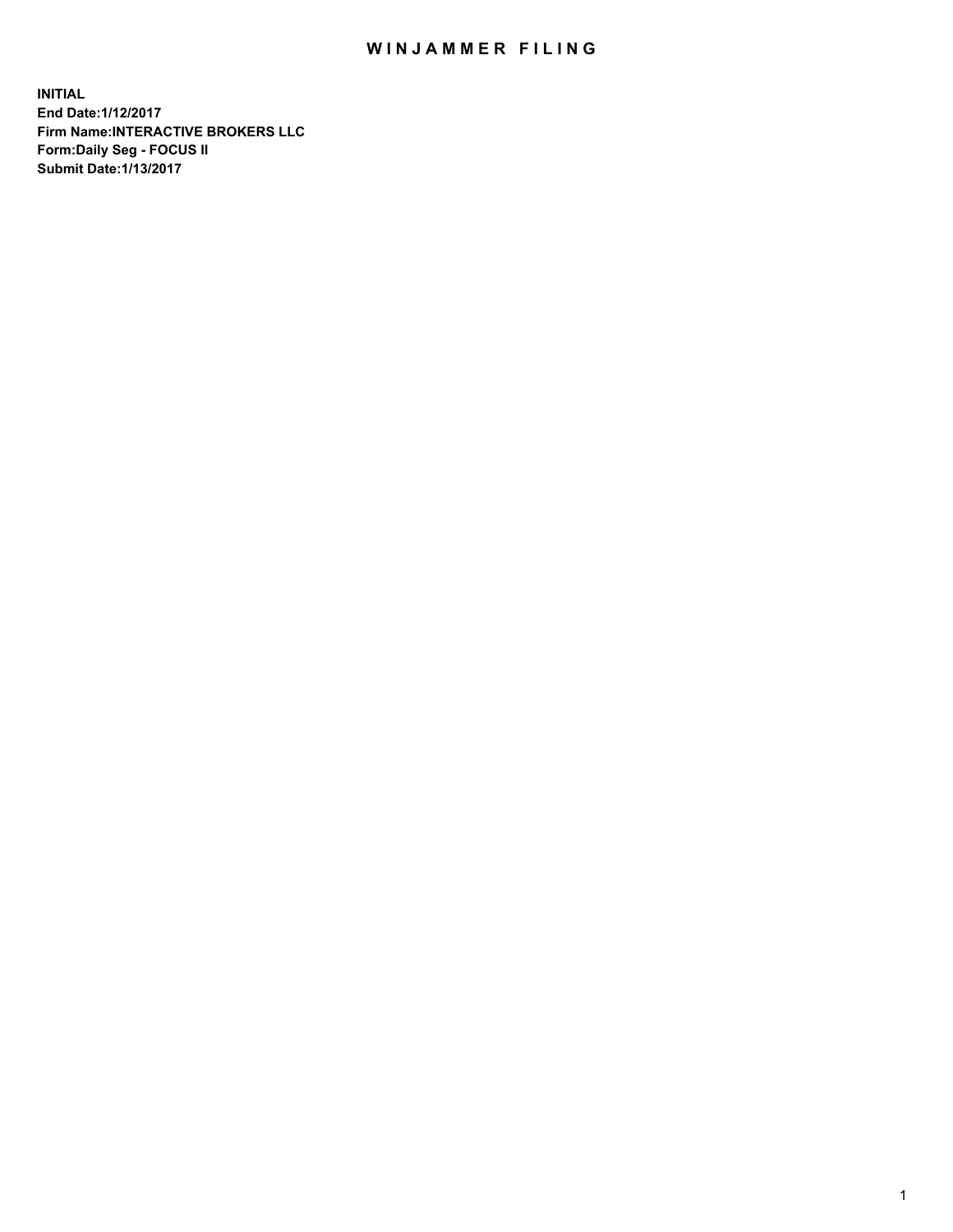## WIN JAMMER FILING

**INITIAL End Date:1/12/2017 Firm Name:INTERACTIVE BROKERS LLC Form:Daily Seg - FOCUS II Submit Date:1/13/2017**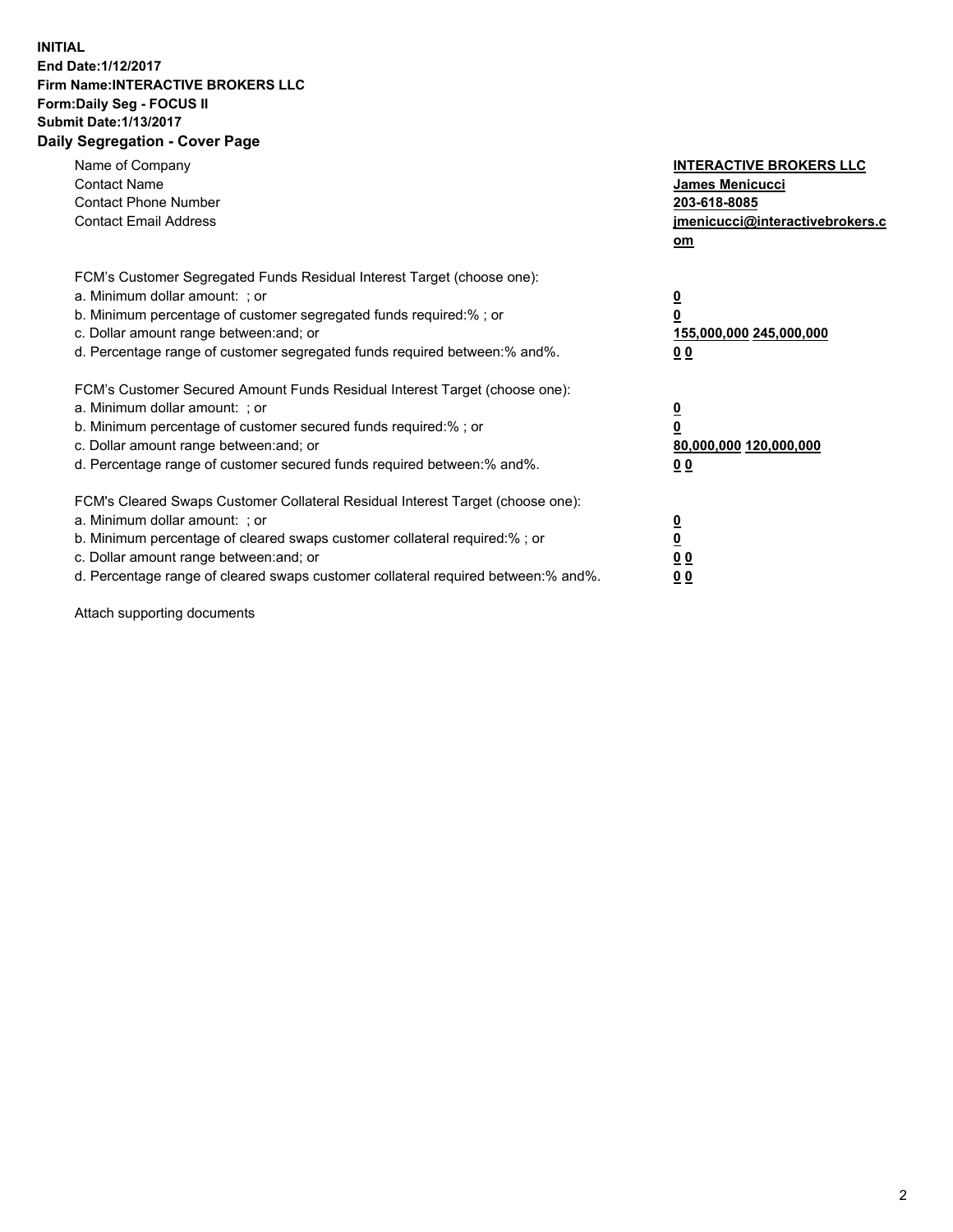## **INITIAL End Date:1/12/2017 Firm Name:INTERACTIVE BROKERS LLC Form:Daily Seg - FOCUS II Submit Date:1/13/2017 Daily Segregation - Cover Page**

| Name of Company<br><b>Contact Name</b><br><b>Contact Phone Number</b><br><b>Contact Email Address</b>                                                                                                                                                                                                                          | <b>INTERACTIVE BROKERS LLC</b><br>James Menicucci<br>203-618-8085<br>jmenicucci@interactivebrokers.c<br>om |
|--------------------------------------------------------------------------------------------------------------------------------------------------------------------------------------------------------------------------------------------------------------------------------------------------------------------------------|------------------------------------------------------------------------------------------------------------|
| FCM's Customer Segregated Funds Residual Interest Target (choose one):<br>a. Minimum dollar amount: ; or<br>b. Minimum percentage of customer segregated funds required:%; or<br>c. Dollar amount range between: and; or<br>d. Percentage range of customer segregated funds required between:% and%.                          | $\overline{\mathbf{0}}$<br>0<br>155,000,000 245,000,000<br>0 <sub>0</sub>                                  |
| FCM's Customer Secured Amount Funds Residual Interest Target (choose one):<br>a. Minimum dollar amount: ; or<br>b. Minimum percentage of customer secured funds required:%; or<br>c. Dollar amount range between: and; or<br>d. Percentage range of customer secured funds required between:% and%.                            | $\overline{\mathbf{0}}$<br>$\overline{\mathbf{0}}$<br>80,000,000 120,000,000<br>00                         |
| FCM's Cleared Swaps Customer Collateral Residual Interest Target (choose one):<br>a. Minimum dollar amount: ; or<br>b. Minimum percentage of cleared swaps customer collateral required:% ; or<br>c. Dollar amount range between: and; or<br>d. Percentage range of cleared swaps customer collateral required between:% and%. | $\overline{\mathbf{0}}$<br>$\overline{\mathbf{0}}$<br>0 <sub>0</sub><br><u>00</u>                          |

Attach supporting documents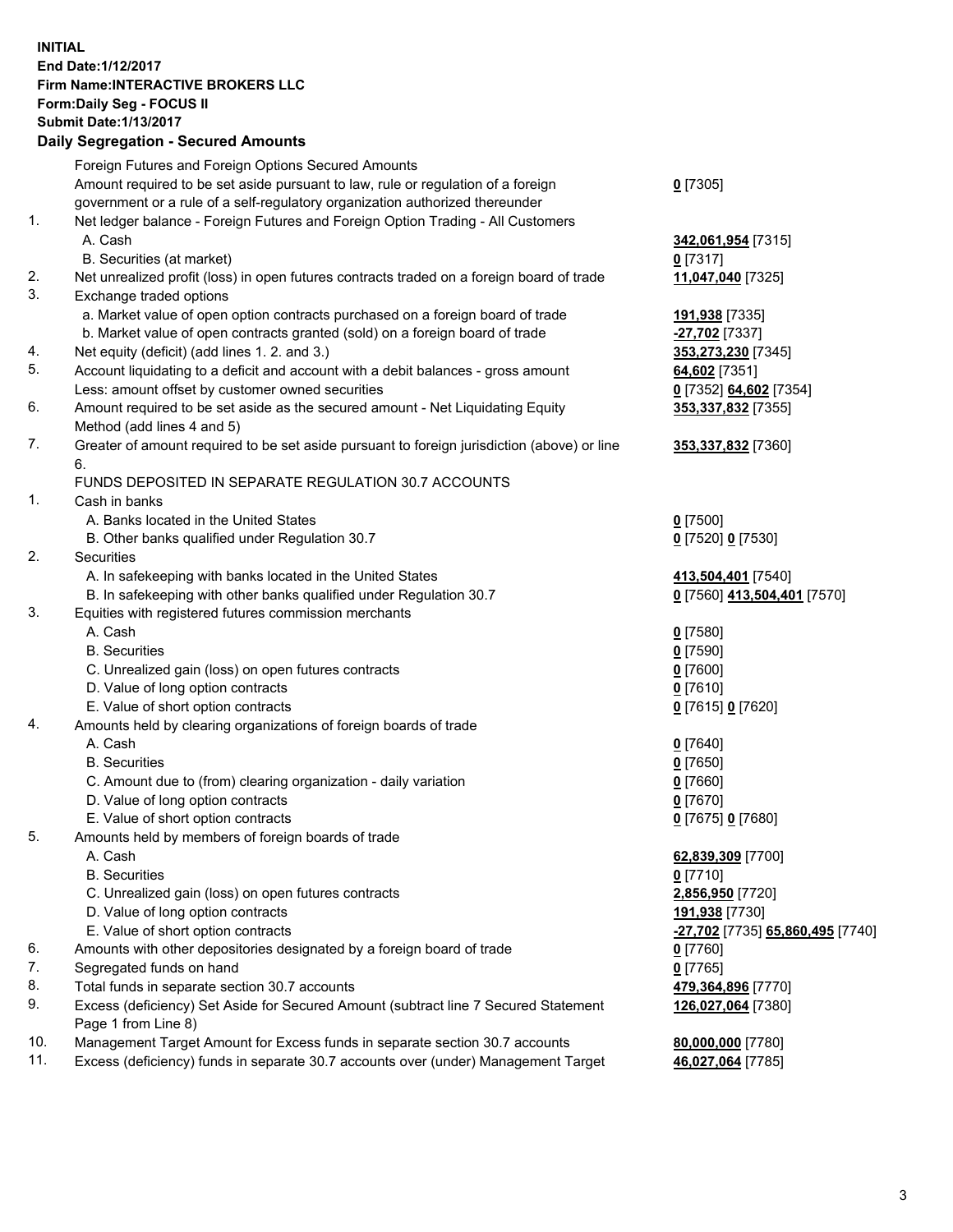## **INITIAL End Date:1/12/2017 Firm Name:INTERACTIVE BROKERS LLC Form:Daily Seg - FOCUS II Submit Date:1/13/2017 Daily Segregation - Secured Amounts**

|     | Dany Ocgregation - Oceanea Annoanta                                                         |                                  |
|-----|---------------------------------------------------------------------------------------------|----------------------------------|
|     | Foreign Futures and Foreign Options Secured Amounts                                         |                                  |
|     | Amount required to be set aside pursuant to law, rule or regulation of a foreign            | $0$ [7305]                       |
|     | government or a rule of a self-regulatory organization authorized thereunder                |                                  |
| 1.  | Net ledger balance - Foreign Futures and Foreign Option Trading - All Customers             |                                  |
|     | A. Cash                                                                                     | 342,061,954 [7315]               |
|     | B. Securities (at market)                                                                   | $0$ [7317]                       |
| 2.  | Net unrealized profit (loss) in open futures contracts traded on a foreign board of trade   | 11,047,040 [7325]                |
| 3.  | Exchange traded options                                                                     |                                  |
|     | a. Market value of open option contracts purchased on a foreign board of trade              | 191,938 [7335]                   |
|     | b. Market value of open contracts granted (sold) on a foreign board of trade                | <b>27,702</b> [7337]             |
| 4.  | Net equity (deficit) (add lines 1.2. and 3.)                                                | 353,273,230 [7345]               |
| 5.  | Account liquidating to a deficit and account with a debit balances - gross amount           | 64,602 [7351]                    |
|     | Less: amount offset by customer owned securities                                            | 0 [7352] 64,602 [7354]           |
| 6.  | Amount required to be set aside as the secured amount - Net Liquidating Equity              | 353,337,832 [7355]               |
|     | Method (add lines 4 and 5)                                                                  |                                  |
| 7.  | Greater of amount required to be set aside pursuant to foreign jurisdiction (above) or line | 353,337,832 [7360]               |
|     | 6.                                                                                          |                                  |
|     | FUNDS DEPOSITED IN SEPARATE REGULATION 30.7 ACCOUNTS                                        |                                  |
| 1.  | Cash in banks                                                                               |                                  |
|     | A. Banks located in the United States                                                       | $0$ [7500]                       |
|     | B. Other banks qualified under Regulation 30.7                                              | 0 [7520] 0 [7530]                |
| 2.  | Securities                                                                                  |                                  |
|     | A. In safekeeping with banks located in the United States                                   | 413,504,401 [7540]               |
|     | B. In safekeeping with other banks qualified under Regulation 30.7                          | 0 [7560] 413,504,401 [7570]      |
| 3.  | Equities with registered futures commission merchants                                       |                                  |
|     | A. Cash                                                                                     | $0$ [7580]                       |
|     | <b>B.</b> Securities                                                                        | $0$ [7590]                       |
|     | C. Unrealized gain (loss) on open futures contracts                                         | $0$ [7600]                       |
|     | D. Value of long option contracts                                                           | $0$ [7610]                       |
|     | E. Value of short option contracts                                                          | 0 [7615] 0 [7620]                |
| 4.  | Amounts held by clearing organizations of foreign boards of trade                           |                                  |
|     | A. Cash                                                                                     | $0$ [7640]                       |
|     | <b>B.</b> Securities                                                                        | $0$ [7650]                       |
|     | C. Amount due to (from) clearing organization - daily variation                             | $0$ [7660]                       |
|     | D. Value of long option contracts                                                           | $0$ [7670]                       |
|     | E. Value of short option contracts                                                          | 0 [7675] 0 [7680]                |
| 5.  | Amounts held by members of foreign boards of trade                                          |                                  |
|     | A. Cash                                                                                     | 62,839,309 [7700]                |
|     | <b>B.</b> Securities                                                                        | $0$ [7710]                       |
|     | C. Unrealized gain (loss) on open futures contracts                                         | 2,856,950 [7720]                 |
|     | D. Value of long option contracts                                                           | 191,938 [7730]                   |
|     | E. Value of short option contracts                                                          | -27,702 [7735] 65,860,495 [7740] |
| 6.  | Amounts with other depositories designated by a foreign board of trade                      | 0 [7760]                         |
| 7.  | Segregated funds on hand                                                                    | $0$ [7765]                       |
| 8.  | Total funds in separate section 30.7 accounts                                               | 479,364,896 [7770]               |
| 9.  | Excess (deficiency) Set Aside for Secured Amount (subtract line 7 Secured Statement         | 126,027,064 [7380]               |
|     | Page 1 from Line 8)                                                                         |                                  |
| 10. | Management Target Amount for Excess funds in separate section 30.7 accounts                 | 80,000,000 [7780]                |
| 11. | Excess (deficiency) funds in separate 30.7 accounts over (under) Management Target          | 46,027,064 [7785]                |
|     |                                                                                             |                                  |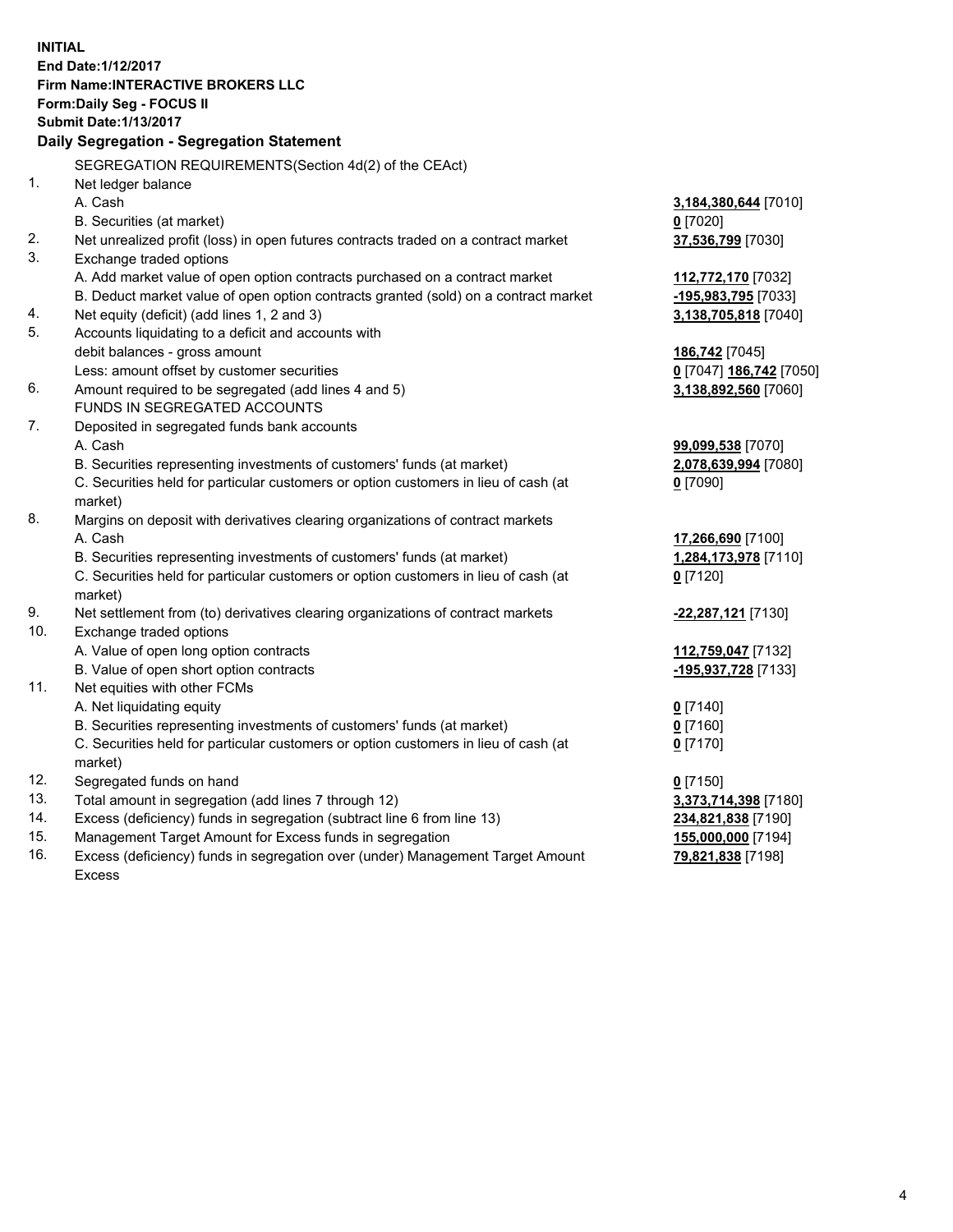**INITIAL End Date:1/12/2017 Firm Name:INTERACTIVE BROKERS LLC Form:Daily Seg - FOCUS II Submit Date:1/13/2017 Daily Segregation - Segregation Statement** SEGREGATION REQUIREMENTS(Section 4d(2) of the CEAct) 1. Net ledger balance A. Cash **3,184,380,644** [7010] B. Securities (at market) **0** [7020] 2. Net unrealized profit (loss) in open futures contracts traded on a contract market **37,536,799** [7030] 3. Exchange traded options A. Add market value of open option contracts purchased on a contract market **112,772,170** [7032] B. Deduct market value of open option contracts granted (sold) on a contract market **-195,983,795** [7033] 4. Net equity (deficit) (add lines 1, 2 and 3) **3,138,705,818** [7040] 5. Accounts liquidating to a deficit and accounts with debit balances - gross amount **186,742** [7045] Less: amount offset by customer securities **0** [7047] **186,742** [7050] 6. Amount required to be segregated (add lines 4 and 5) **3,138,892,560** [7060] FUNDS IN SEGREGATED ACCOUNTS 7. Deposited in segregated funds bank accounts A. Cash **99,099,538** [7070] B. Securities representing investments of customers' funds (at market) **2,078,639,994** [7080] C. Securities held for particular customers or option customers in lieu of cash (at market) **0** [7090] 8. Margins on deposit with derivatives clearing organizations of contract markets A. Cash **17,266,690** [7100] B. Securities representing investments of customers' funds (at market) **1,284,173,978** [7110] C. Securities held for particular customers or option customers in lieu of cash (at market) **0** [7120] 9. Net settlement from (to) derivatives clearing organizations of contract markets **-22,287,121** [7130] 10. Exchange traded options A. Value of open long option contracts **112,759,047** [7132] B. Value of open short option contracts **-195,937,728** [7133] 11. Net equities with other FCMs A. Net liquidating equity **0** [7140] B. Securities representing investments of customers' funds (at market) **0** [7160] C. Securities held for particular customers or option customers in lieu of cash (at market) **0** [7170] 12. Segregated funds on hand **0** [7150] 13. Total amount in segregation (add lines 7 through 12) **3,373,714,398** [7180] 14. Excess (deficiency) funds in segregation (subtract line 6 from line 13) **234,821,838** [7190] 15. Management Target Amount for Excess funds in segregation **155,000,000** [7194]

16. Excess (deficiency) funds in segregation over (under) Management Target Amount Excess

**79,821,838** [7198]